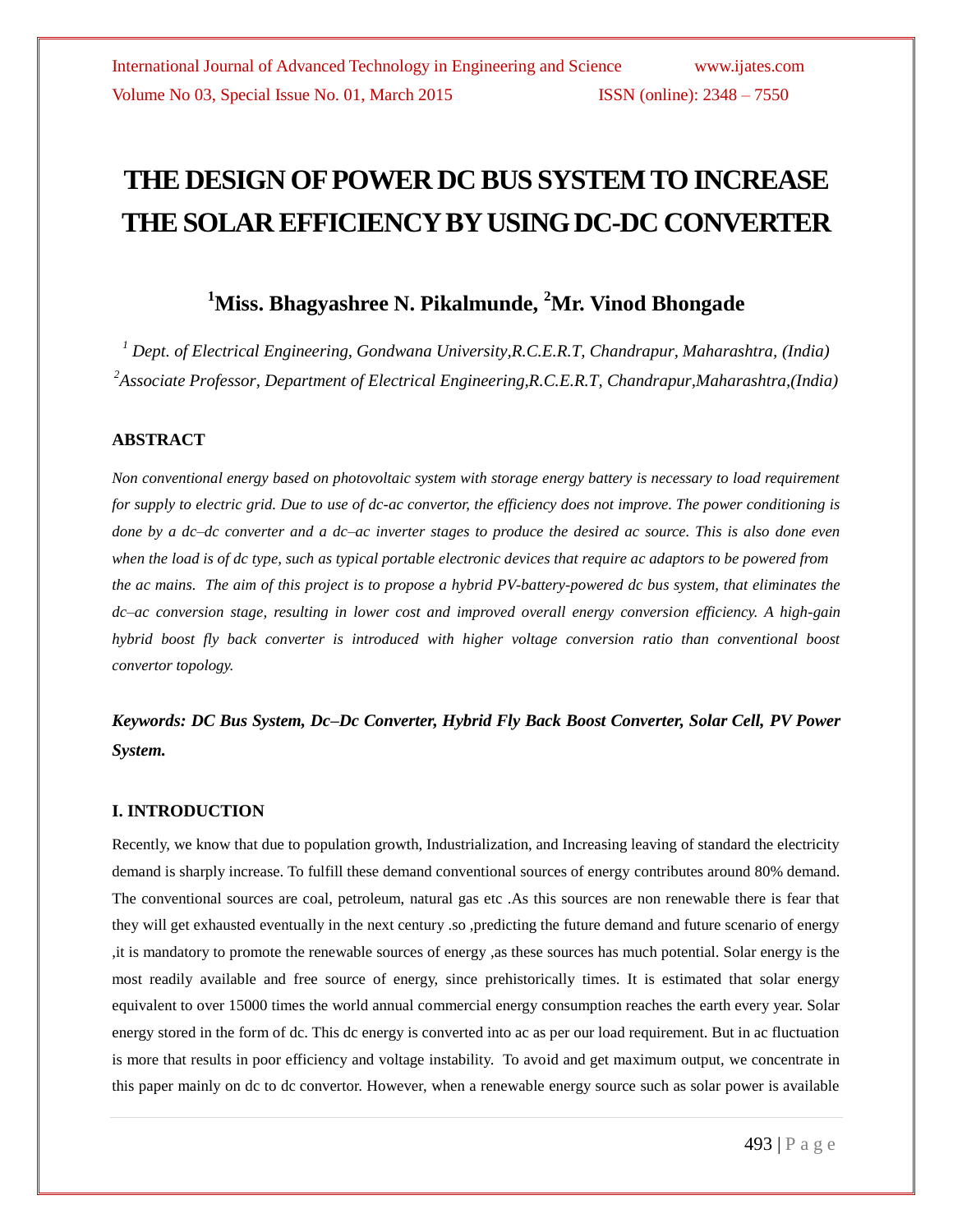# **THE DESIGN OF POWER DC BUS SYSTEM TO INCREASE THE SOLAR EFFICIENCY BY USING DC-DC CONVERTER**

# **<sup>1</sup>Miss. Bhagyashree N. Pikalmunde, <sup>2</sup>Mr. Vinod Bhongade**

*<sup>1</sup> Dept. of Electrical Engineering, Gondwana University,R.C.E.R.T, Chandrapur, Maharashtra, (India) <sup>2</sup>Associate Professor, Department of Electrical Engineering,R.C.E.R.T, Chandrapur,Maharashtra,(India)*

## **ABSTRACT**

*Non conventional energy based on photovoltaic system with storage energy battery is necessary to load requirement for supply to electric grid. Due to use of dc-ac convertor, the efficiency does not improve. The power conditioning is done by a dc–dc converter and a dc–ac inverter stages to produce the desired ac source. This is also done even when the load is of dc type, such as typical portable electronic devices that require ac adaptors to be powered from the ac mains. The aim of this project is to propose a hybrid PV-battery-powered dc bus system, that eliminates the dc–ac conversion stage, resulting in lower cost and improved overall energy conversion efficiency. A high-gain hybrid boost fly back converter is introduced with higher voltage conversion ratio than conventional boost convertor topology.*

*Keywords: DC Bus System, Dc–Dc Converter, Hybrid Fly Back Boost Converter, Solar Cell, PV Power System.*

### **I. INTRODUCTION**

Recently, we know that due to population growth, Industrialization, and Increasing leaving of standard the electricity demand is sharply increase. To fulfill these demand conventional sources of energy contributes around 80% demand. The conventional sources are coal, petroleum, natural gas etc .As this sources are non renewable there is fear that they will get exhausted eventually in the next century .so ,predicting the future demand and future scenario of energy ,it is mandatory to promote the renewable sources of energy ,as these sources has much potential. Solar energy is the most readily available and free source of energy, since prehistorically times. It is estimated that solar energy equivalent to over 15000 times the world annual commercial energy consumption reaches the earth every year. Solar energy stored in the form of dc. This dc energy is converted into ac as per our load requirement. But in ac fluctuation is more that results in poor efficiency and voltage instability. To avoid and get maximum output, we concentrate in this paper mainly on dc to dc convertor. However, when a renewable energy source such as solar power is available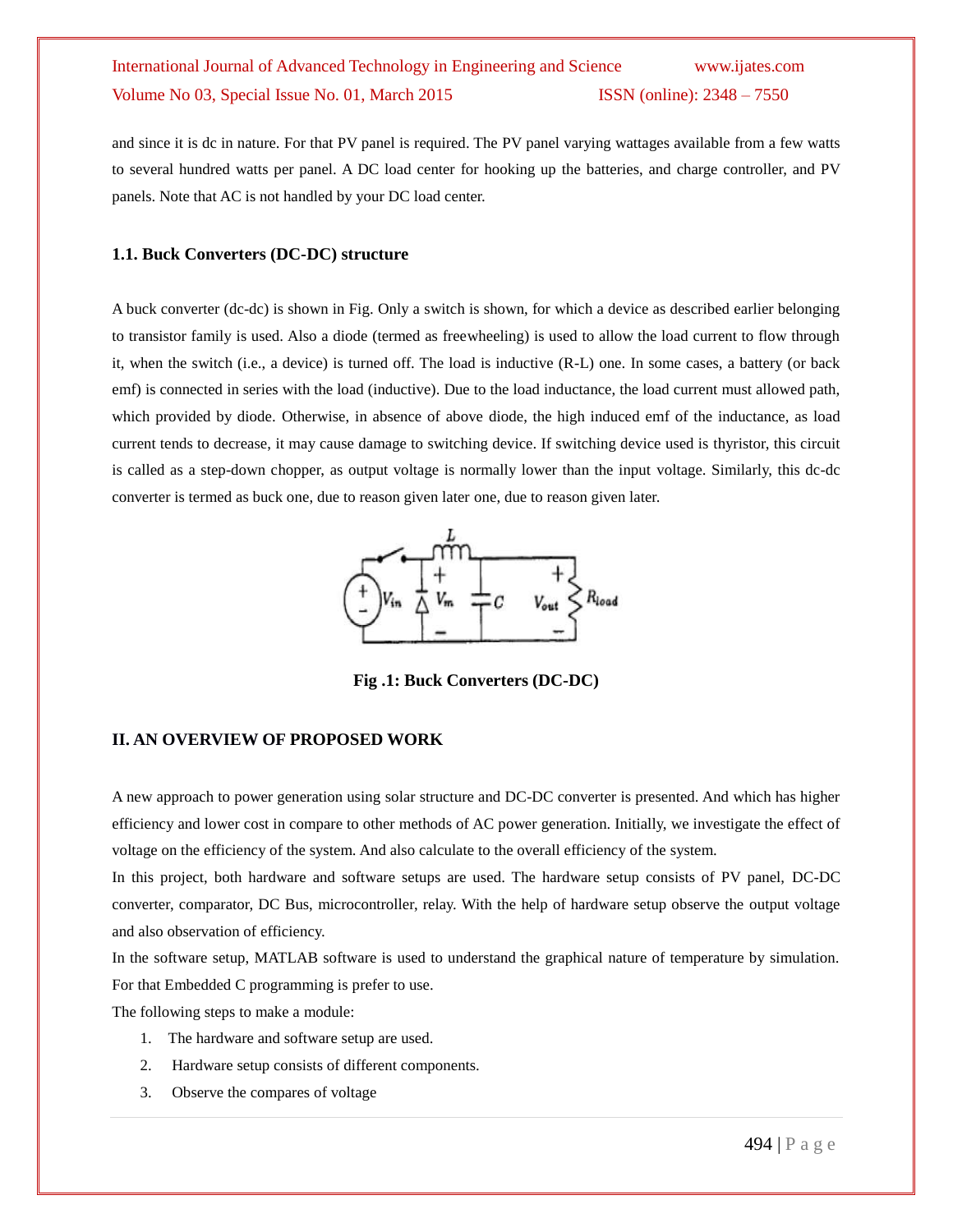and since it is dc in nature. For that PV panel is required. The PV panel varying wattages available from a few watts to several hundred watts per panel. A DC load center for hooking up the batteries, and charge controller, and PV panels. Note that AC is not handled by your DC load center.

#### **1.1. Buck Converters (DC-DC) structure**

A buck converter (dc-dc) is shown in Fig. Only a switch is shown, for which a device as described earlier belonging to transistor family is used. Also a diode (termed as freewheeling) is used to allow the load current to flow through it, when the switch (i.e., a device) is turned off. The load is inductive (R-L) one. In some cases, a battery (or back emf) is connected in series with the load (inductive). Due to the load inductance, the load current must allowed path, which provided by diode. Otherwise, in absence of above diode, the high induced emf of the inductance, as load current tends to decrease, it may cause damage to switching device. If switching device used is thyristor, this circuit is called as a step-down chopper, as output voltage is normally lower than the input voltage. Similarly, this dc-dc converter is termed as buck one, due to reason given later one, due to reason given later.



**Fig .1: Buck Converters (DC-DC)**

# **II. AN OVERVIEW OF PROPOSED WORK**

A new approach to power generation using solar structure and DC-DC converter is presented. And which has higher efficiency and lower cost in compare to other methods of AC power generation. Initially, we investigate the effect of voltage on the efficiency of the system. And also calculate to the overall efficiency of the system.

In this project, both hardware and software setups are used. The hardware setup consists of PV panel, DC-DC converter, comparator, DC Bus, microcontroller, relay. With the help of hardware setup observe the output voltage and also observation of efficiency.

In the software setup, MATLAB software is used to understand the graphical nature of temperature by simulation. For that Embedded C programming is prefer to use.

The following steps to make a module:

- 1. The hardware and software setup are used.
- 2. Hardware setup consists of different components.
- 3. Observe the compares of voltage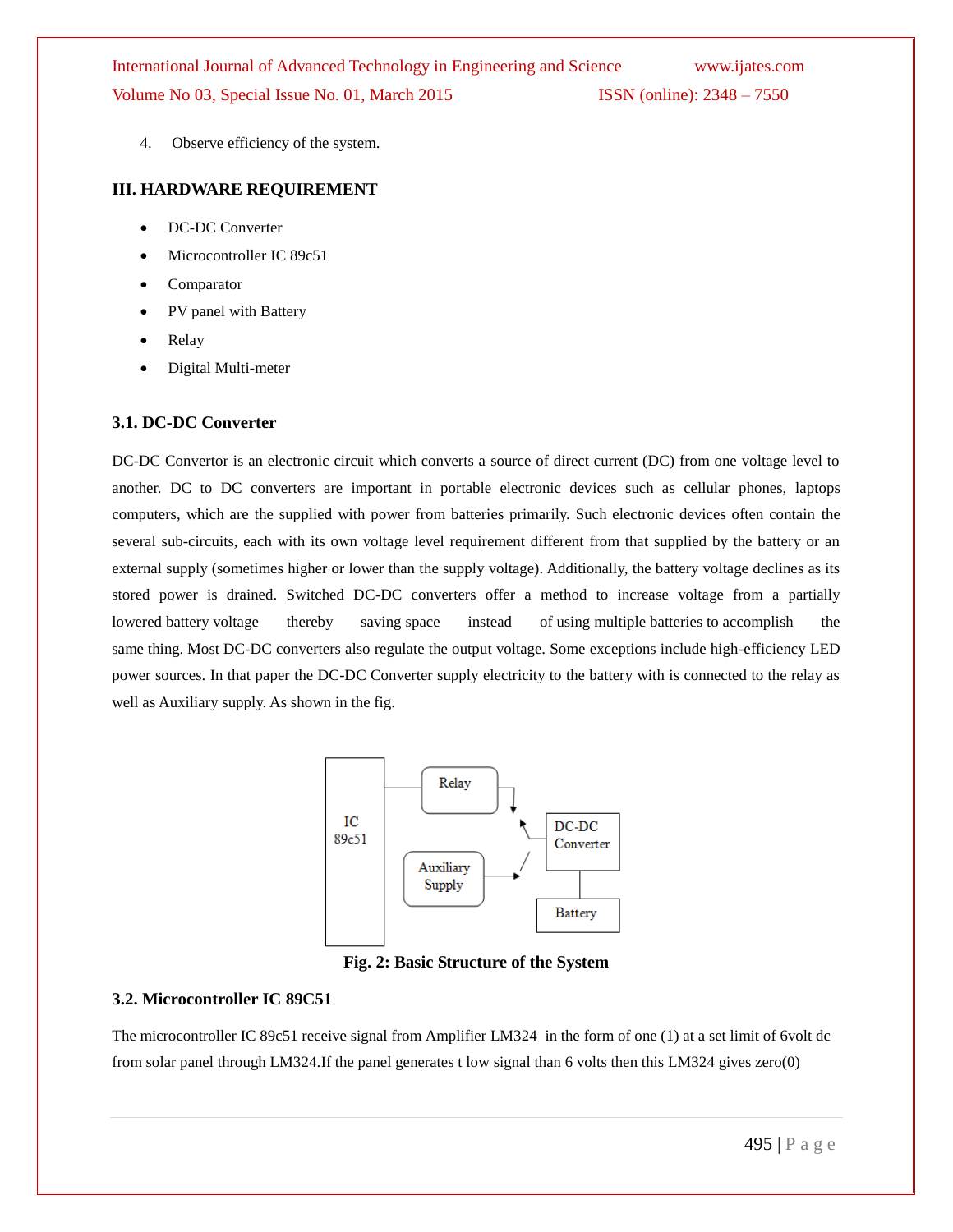4. Observe efficiency of the system.

#### **III. HARDWARE REQUIREMENT**

- DC-DC Converter
- Microcontroller IC 89c51
- Comparator
- PV panel with Battery
- Relay
- Digital Multi-meter

#### **3.1. DC-DC Converter**

DC-DC Convertor is an electronic circuit which converts a source of direct current (DC) from one voltage level to another. DC to DC converters are important in portable electronic devices such as cellular phones, laptops computers, which are the supplied with power from batteries primarily. Such electronic devices often contain the several sub-circuits, each with its own voltage level requirement different from that supplied by the battery or an external supply (sometimes higher or lower than the supply voltage). Additionally, the battery voltage declines as its stored power is drained. Switched DC-DC converters offer a method to increase voltage from a partially lowered battery voltage thereby saving space instead of using multiple batteries to accomplish the same thing. Most DC-DC converters also regulate the output voltage. Some exceptions include high-efficiency LED power sources. In that paper the DC-DC Converter supply electricity to the battery with is connected to the relay as well as Auxiliary supply. As shown in the fig.



**Fig. 2: Basic Structure of the System**

## **3.2. Microcontroller IC 89C51**

The microcontroller IC 89c51 receive signal from Amplifier LM324 in the form of one (1) at a set limit of 6volt dc from solar panel through LM324.If the panel generates t low signal than 6 volts then this LM324 gives zero(0)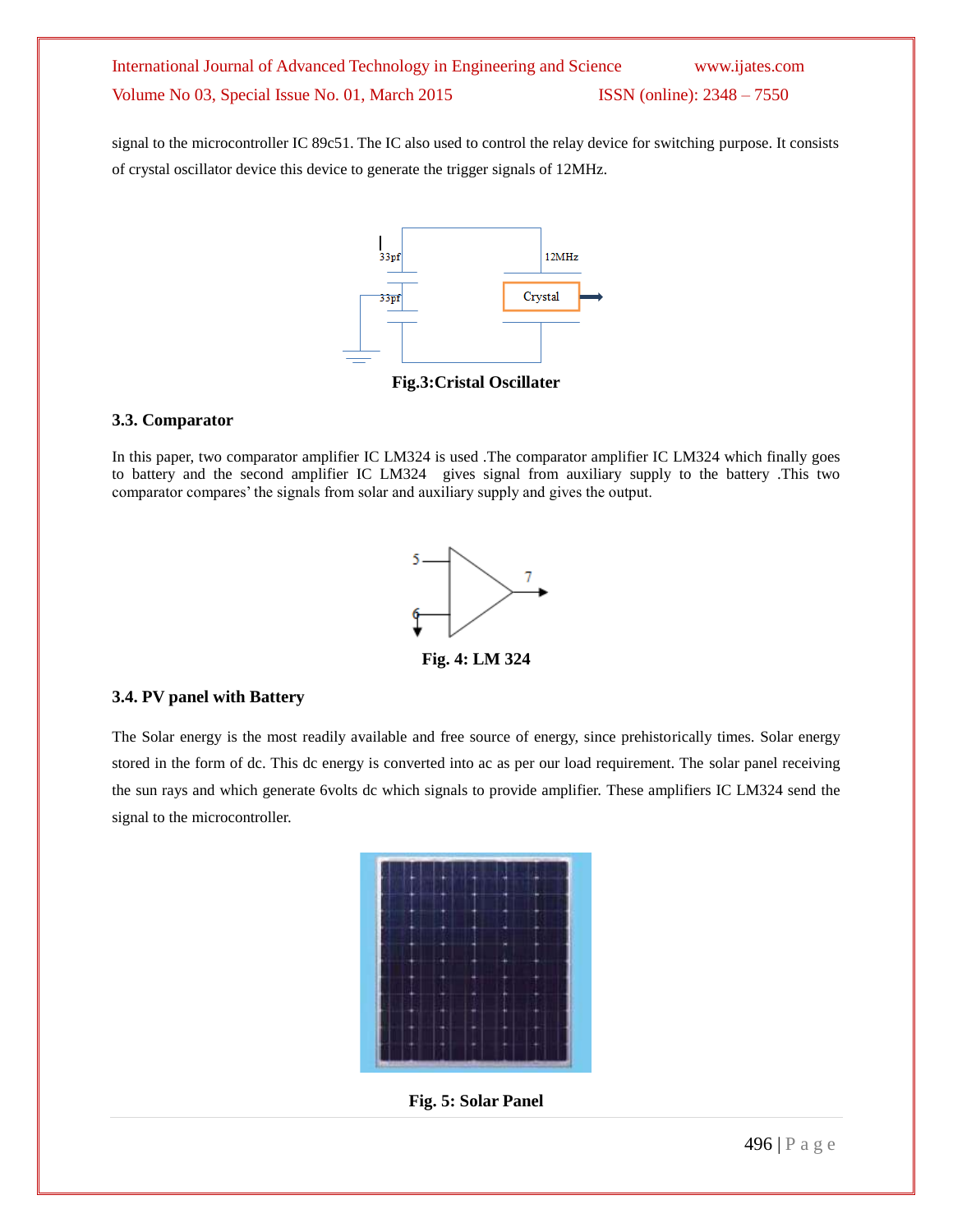signal to the microcontroller IC 89c51. The IC also used to control the relay device for switching purpose. It consists of crystal oscillator device this device to generate the trigger signals of 12MHz.



#### **3.3. Comparator**

In this paper, two comparator amplifier IC LM324 is used .The comparator amplifier IC LM324 which finally goes to battery and the second amplifier IC LM324 gives signal from auxiliary supply to the battery .This two comparator compares' the signals from solar and auxiliary supply and gives the output.



#### **3.4. PV panel with Battery**

The Solar energy is the most readily available and free source of energy, since prehistorically times. Solar energy stored in the form of dc. This dc energy is converted into ac as per our load requirement. The solar panel receiving the sun rays and which generate 6volts dc which signals to provide amplifier. These amplifiers IC LM324 send the signal to the microcontroller.



**Fig. 5: Solar Panel**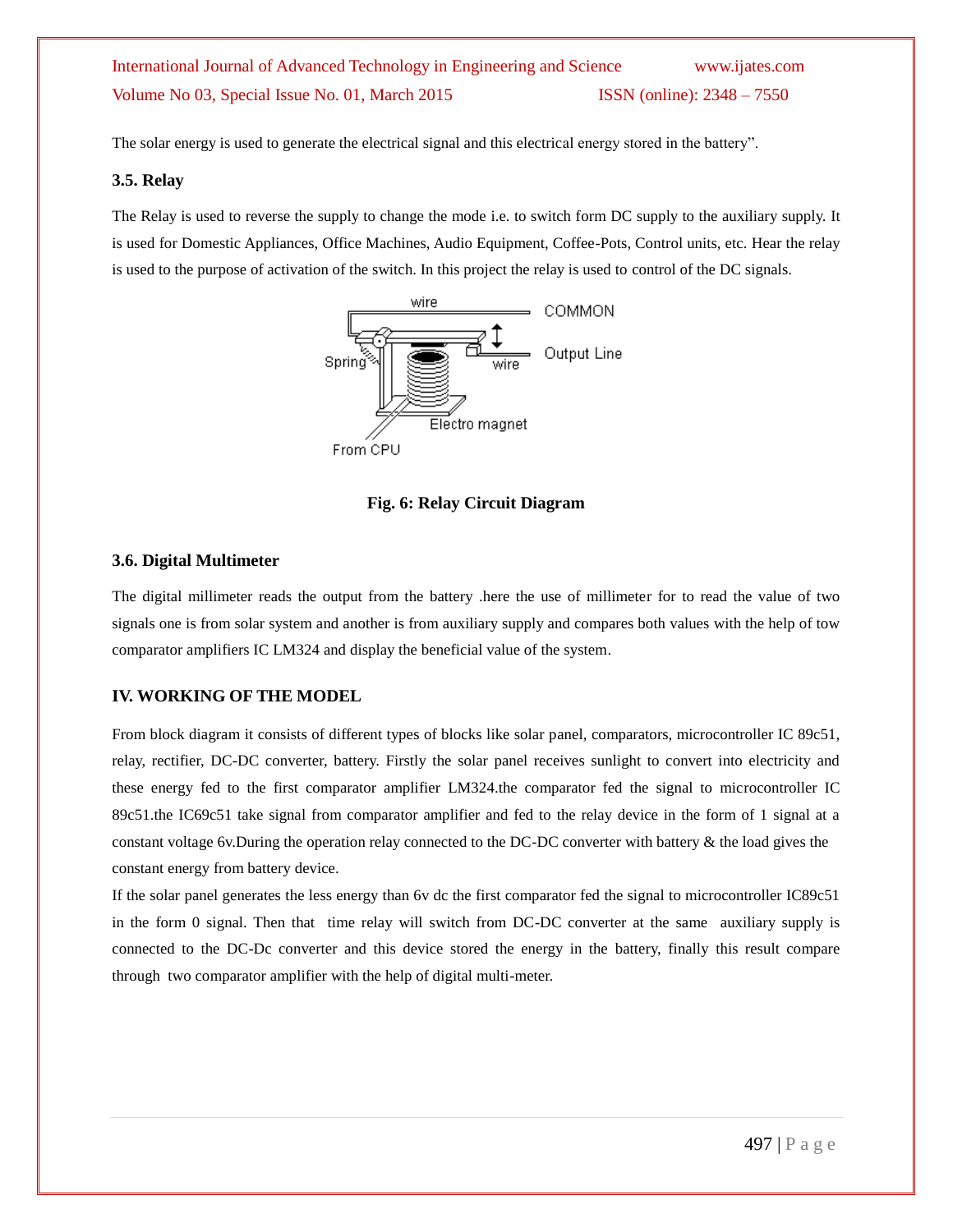The solar energy is used to generate the electrical signal and this electrical energy stored in the battery".

#### **3.5. Relay**

The Relay is used to reverse the supply to change the mode i.e. to switch form DC supply to the auxiliary supply. It is used for Domestic Appliances, Office Machines, Audio Equipment, Coffee-Pots, Control units, etc. Hear the relay is used to the purpose of activation of the switch. In this project the relay is used to control of the DC signals.



**Fig. 6: Relay Circuit Diagram**

## **3.6. Digital Multimeter**

The digital millimeter reads the output from the battery .here the use of millimeter for to read the value of two signals one is from solar system and another is from auxiliary supply and compares both values with the help of tow comparator amplifiers IC LM324 and display the beneficial value of the system.

# **IV. WORKING OF THE MODEL**

From block diagram it consists of different types of blocks like solar panel, comparators, microcontroller IC 89c51, relay, rectifier, DC-DC converter, battery. Firstly the solar panel receives sunlight to convert into electricity and these energy fed to the first comparator amplifier LM324.the comparator fed the signal to microcontroller IC 89c51.the IC69c51 take signal from comparator amplifier and fed to the relay device in the form of 1 signal at a constant voltage 6v.During the operation relay connected to the DC-DC converter with battery & the load gives the constant energy from battery device.

If the solar panel generates the less energy than 6v dc the first comparator fed the signal to microcontroller IC89c51 in the form 0 signal. Then that time relay will switch from DC-DC converter at the same auxiliary supply is connected to the DC-Dc converter and this device stored the energy in the battery, finally this result compare through two comparator amplifier with the help of digital multi-meter.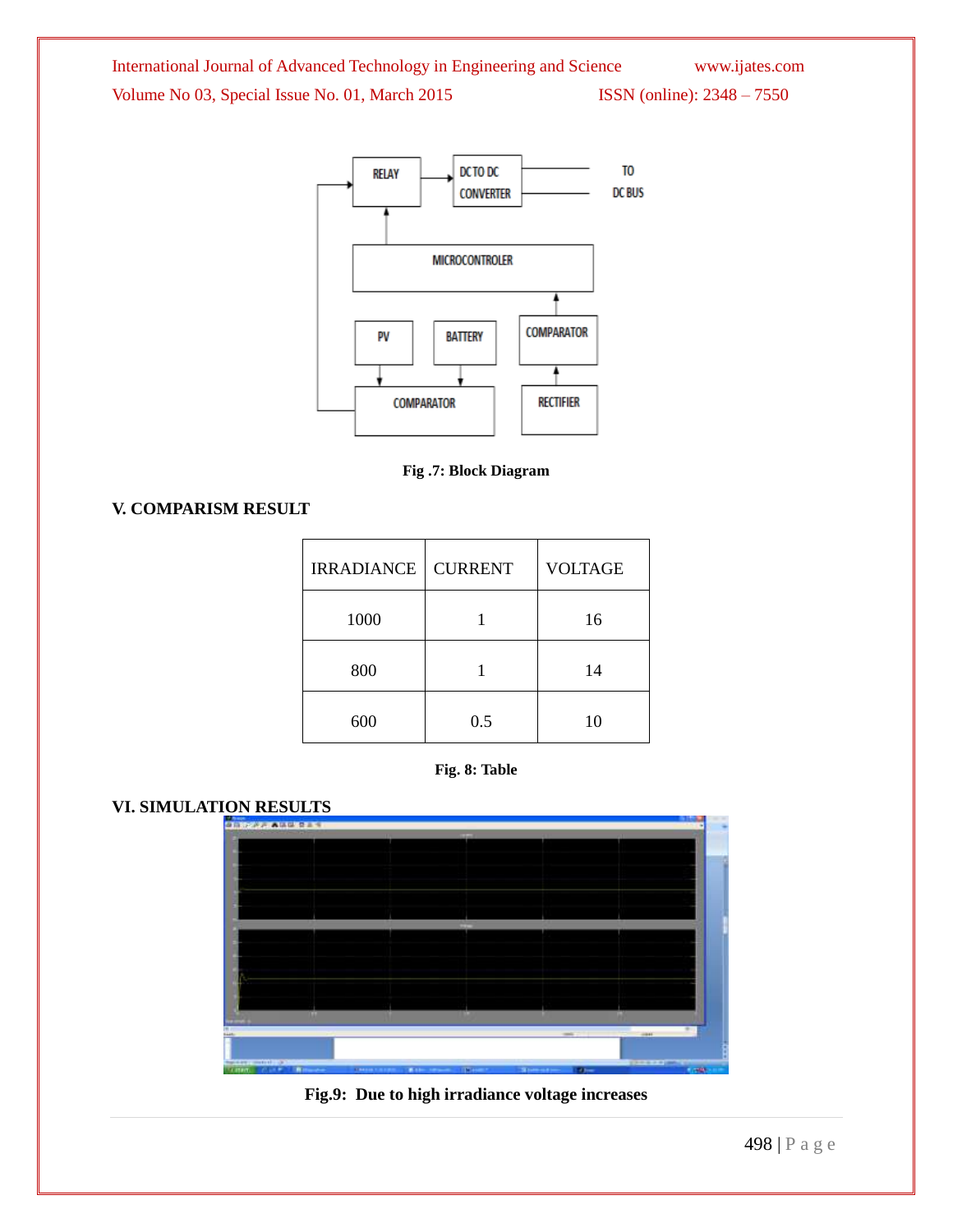



**Fig .7: Block Diagram**

**V. COMPARISM RESULT**

| <b>IRRADIANCE</b> | <b>CURRENT</b> | <b>VOLTAGE</b> |
|-------------------|----------------|----------------|
| 1000              |                | 16             |
| 800               |                | 14             |
| 600               | 0.5            | 10             |



# **VI. SIMULATION RESULTS**



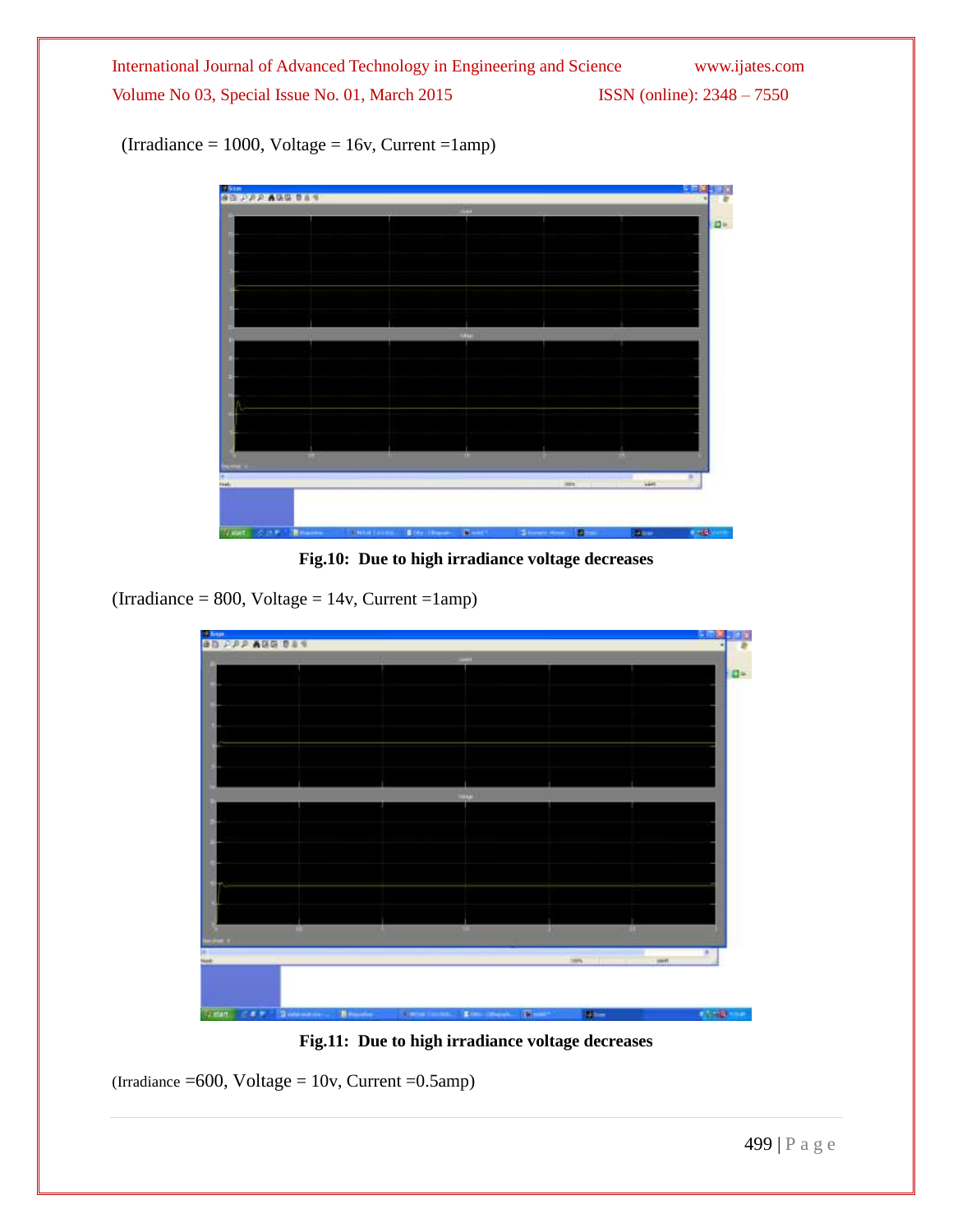$(Irradiance = 1000, Voltage = 16v, Current =1amp)$ 



**Fig.10: Due to high irradiance voltage decreases**

 $(Irradiance = 800, Voltage = 14v, Current =1amp)$ 



**Fig.11: Due to high irradiance voltage decreases**

 $(Irradiance = 600, Voltage = 10v, Current = 0.5amp)$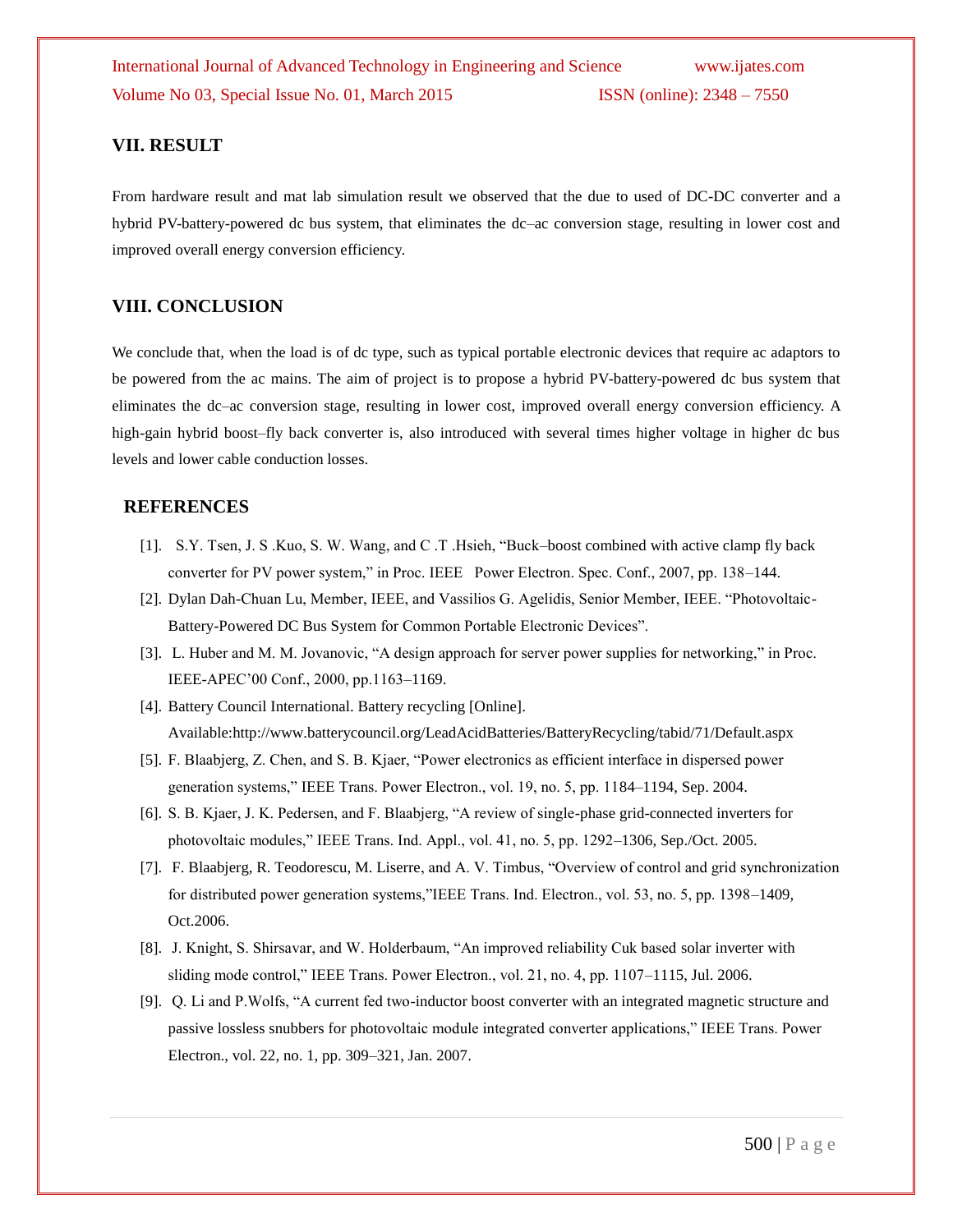## **VII. RESULT**

From hardware result and mat lab simulation result we observed that the due to used of DC-DC converter and a hybrid PV-battery-powered dc bus system, that eliminates the dc–ac conversion stage, resulting in lower cost and improved overall energy conversion efficiency.

## **VIII. CONCLUSION**

We conclude that, when the load is of dc type, such as typical portable electronic devices that require ac adaptors to be powered from the ac mains. The aim of project is to propose a hybrid PV-battery-powered dc bus system that eliminates the dc–ac conversion stage, resulting in lower cost, improved overall energy conversion efficiency. A high-gain hybrid boost–fly back converter is, also introduced with several times higher voltage in higher dc bus levels and lower cable conduction losses.

#### **REFERENCES**

- [1]. S.Y. Tsen, J. S .Kuo, S. W. Wang, and C .T .Hsieh, "Buck–boost combined with active clamp fly back converter for PV power system," in Proc. IEEE Power Electron. Spec. Conf., 2007, pp. 138–144.
- [2]. Dylan Dah-Chuan Lu, Member, IEEE, and Vassilios G. Agelidis, Senior Member, IEEE. "Photovoltaic-Battery-Powered DC Bus System for Common Portable Electronic Devices".
- [3]. L. Huber and M. M. Jovanovic, "A design approach for server power supplies for networking," in Proc. IEEE-APEC'00 Conf., 2000, pp.1163–1169.
- [4]. Battery Council International. Battery recycling [Online]. Available:http://www.batterycouncil.org/LeadAcidBatteries/BatteryRecycling/tabid/71/Default.aspx
- [5]. F. Blaabjerg, Z. Chen, and S. B. Kjaer, "Power electronics as efficient interface in dispersed power generation systems," IEEE Trans. Power Electron., vol. 19, no. 5, pp. 1184–1194, Sep. 2004.
- [6]. S. B. Kjaer, J. K. Pedersen, and F. Blaabjerg, "A review of single-phase grid-connected inverters for photovoltaic modules," IEEE Trans. Ind. Appl., vol. 41, no. 5, pp. 1292–1306, Sep./Oct. 2005.
- [7]. F. Blaabjerg, R. Teodorescu, M. Liserre, and A. V. Timbus, "Overview of control and grid synchronization for distributed power generation systems,"IEEE Trans. Ind. Electron., vol. 53, no. 5, pp. 1398–1409, Oct.2006.
- [8]. J. Knight, S. Shirsavar, and W. Holderbaum, "An improved reliability Cuk based solar inverter with sliding mode control," IEEE Trans. Power Electron., vol. 21, no. 4, pp. 1107–1115, Jul. 2006.
- [9]. Q. Li and P.Wolfs, "A current fed two-inductor boost converter with an integrated magnetic structure and passive lossless snubbers for photovoltaic module integrated converter applications," IEEE Trans. Power Electron., vol. 22, no. 1, pp. 309–321, Jan. 2007.